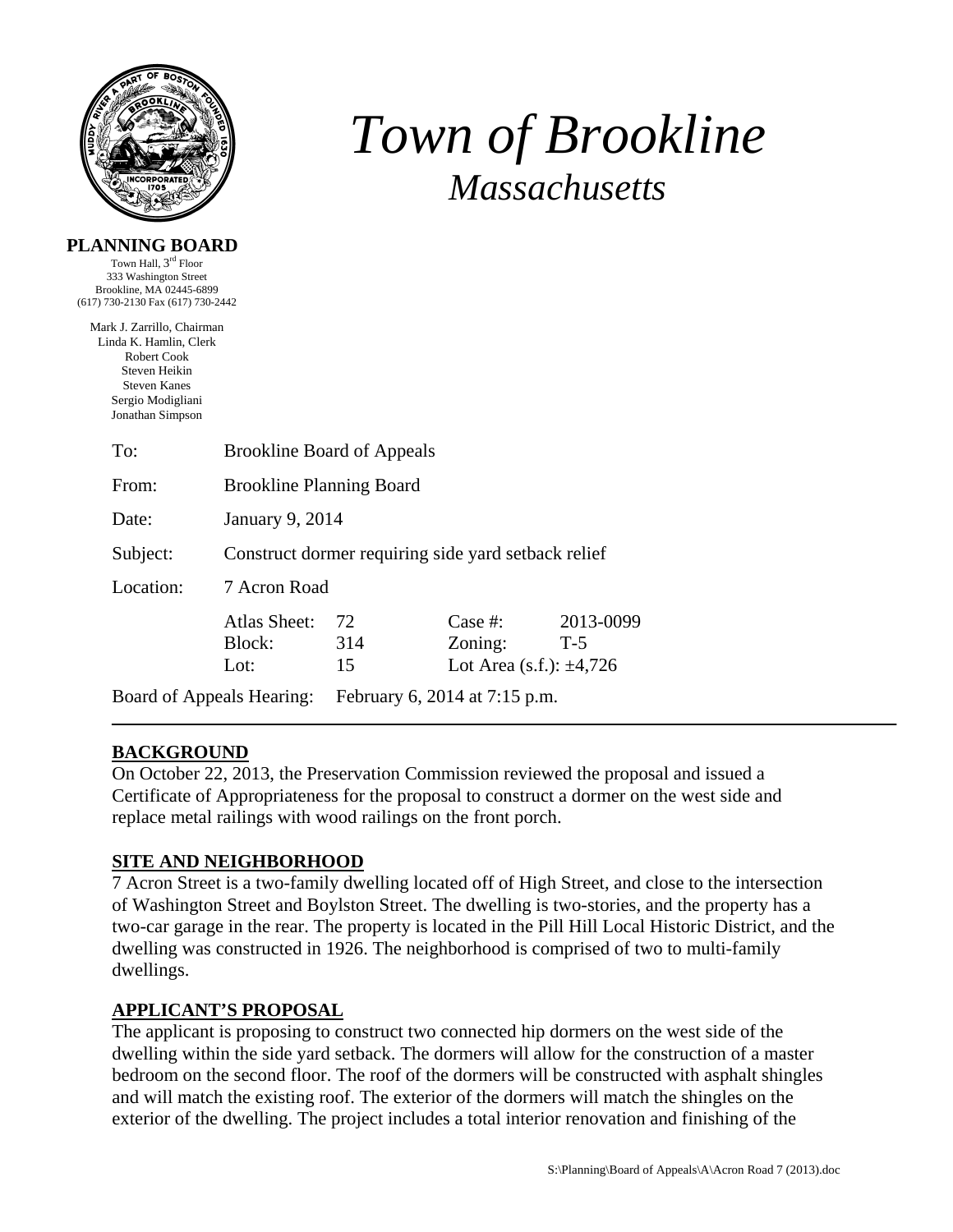

# *Town of Brookline Massachusetts*

#### **PLANNING BOARD**

Town Hall, 3rd Floor 333 Washington Street Brookline, MA 02445-6899 (617) 730-2130 Fax (617) 730-2442

Mark J. Zarrillo, Chairman Linda K. Hamlin, Clerk Robert Cook Steven Heikin Steven Kanes Sergio Modigliani Jonathan Simpson

| To:                       | <b>Brookline Board of Appeals</b>                   |                               |                                                    |                    |  |
|---------------------------|-----------------------------------------------------|-------------------------------|----------------------------------------------------|--------------------|--|
| From:                     | <b>Brookline Planning Board</b>                     |                               |                                                    |                    |  |
| Date:                     | January 9, 2014                                     |                               |                                                    |                    |  |
| Subject:                  | Construct dormer requiring side yard setback relief |                               |                                                    |                    |  |
| Location:                 | 7 Acron Road                                        |                               |                                                    |                    |  |
|                           | Atlas Sheet:<br>Block:<br>Lot:                      | 72<br>314<br>15               | Case #:<br>Zoning:<br>Lot Area (s.f.): $\pm 4,726$ | 2013-0099<br>$T-5$ |  |
| Board of Appeals Hearing: |                                                     | February 6, 2014 at 7:15 p.m. |                                                    |                    |  |

## **BACKGROUND**

On October 22, 2013, the Preservation Commission reviewed the proposal and issued a Certificate of Appropriateness for the proposal to construct a dormer on the west side and replace metal railings with wood railings on the front porch.

## **SITE AND NEIGHBORHOOD**

7 Acron Street is a two-family dwelling located off of High Street, and close to the intersection of Washington Street and Boylston Street. The dwelling is two-stories, and the property has a two-car garage in the rear. The property is located in the Pill Hill Local Historic District, and the dwelling was constructed in 1926. The neighborhood is comprised of two to multi-family dwellings.

## **APPLICANT'S PROPOSAL**

The applicant is proposing to construct two connected hip dormers on the west side of the dwelling within the side yard setback. The dormers will allow for the construction of a master bedroom on the second floor. The roof of the dormers will be constructed with asphalt shingles and will match the existing roof. The exterior of the dormers will match the shingles on the exterior of the dwelling. The project includes a total interior renovation and finishing of the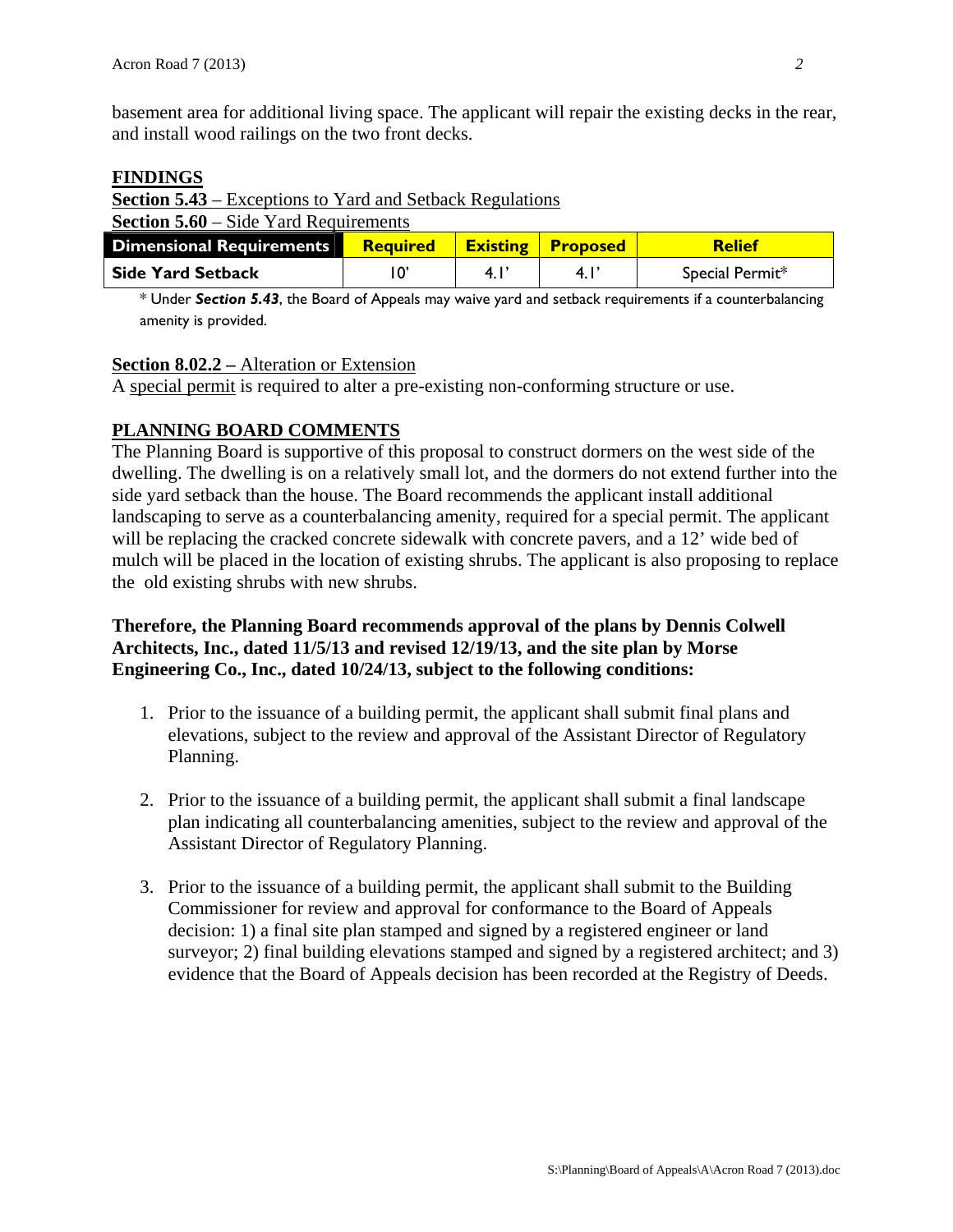basement area for additional living space. The applicant will repair the existing decks in the rear, and install wood railings on the two front decks.

#### **FINDINGS**

**Section 5.43** – Exceptions to Yard and Setback Regulations **Section 5.60** – Side Yard Requirements

| <b>Dimensional Requirements</b> | <b>Required</b> | <b>Existing Proposed</b> | <b>Relief</b>   |
|---------------------------------|-----------------|--------------------------|-----------------|
| <b>Side Yard Setback</b>        | $10^{\circ}$    |                          | Special Permit* |

\* Under *Section 5.43*, the Board of Appeals may waive yard and setback requirements if a counterbalancing amenity is provided.

### **Section 8.02.2 –** Alteration or Extension

A special permit is required to alter a pre-existing non-conforming structure or use.

## **PLANNING BOARD COMMENTS**

The Planning Board is supportive of this proposal to construct dormers on the west side of the dwelling. The dwelling is on a relatively small lot, and the dormers do not extend further into the side yard setback than the house. The Board recommends the applicant install additional landscaping to serve as a counterbalancing amenity, required for a special permit. The applicant will be replacing the cracked concrete sidewalk with concrete pavers, and a 12' wide bed of mulch will be placed in the location of existing shrubs. The applicant is also proposing to replace the old existing shrubs with new shrubs.

### **Therefore, the Planning Board recommends approval of the plans by Dennis Colwell Architects, Inc., dated 11/5/13 and revised 12/19/13, and the site plan by Morse Engineering Co., Inc., dated 10/24/13, subject to the following conditions:**

- 1. Prior to the issuance of a building permit, the applicant shall submit final plans and elevations, subject to the review and approval of the Assistant Director of Regulatory Planning.
- 2. Prior to the issuance of a building permit, the applicant shall submit a final landscape plan indicating all counterbalancing amenities, subject to the review and approval of the Assistant Director of Regulatory Planning.
- 3. Prior to the issuance of a building permit, the applicant shall submit to the Building Commissioner for review and approval for conformance to the Board of Appeals decision: 1) a final site plan stamped and signed by a registered engineer or land surveyor; 2) final building elevations stamped and signed by a registered architect; and 3) evidence that the Board of Appeals decision has been recorded at the Registry of Deeds.